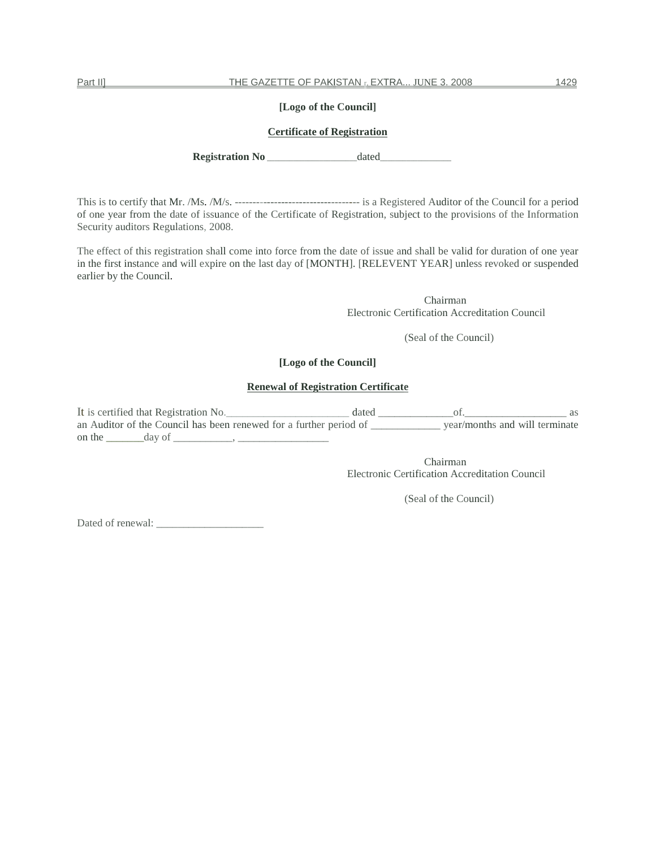# **[Logo of the Council]**

## **Certificate of Registration**

**Registration No** dated

This is to certify that Mr. /Ms. /M/s. ----------------------------------- is a Registered Auditor of the Council for a period of one year from the date of issuance of the Certificate of Registration, subject to the provisions of the Information Security auditors Regulations, 2008.

The effect of this registration shall come into force from the date of issue and shall be valid for duration of one year in the first instance and will expire on the last day of [MONTH]. [RELEVENT YEAR] unless revoked or suspended earlier by the Council.

> Chairman Electronic Certification Accreditation Council

> > (Seal of the Council)

#### **[Logo of the Council]**

# **Renewal of Registration Certificate**

It is certified that Registration No.\_\_\_\_\_\_\_\_\_\_\_\_\_\_\_\_\_\_\_\_\_\_\_ dated \_\_\_\_\_\_\_\_\_\_\_\_\_\_of.\_\_\_\_\_\_\_\_\_\_\_\_\_\_\_\_\_\_\_ as an Auditor of the Council has been renewed for a further period of \_\_\_\_\_\_\_\_\_\_\_\_\_ year/months and will terminate on the  $\_\_\_\_\_\_\_\_\_\_\_\_\_\_\_\$ 

> Chairman Electronic Certification Accreditation Council

> > (Seal of the Council)

Dated of renewal: \_\_\_\_\_\_\_\_\_\_\_\_\_\_\_\_\_\_\_\_